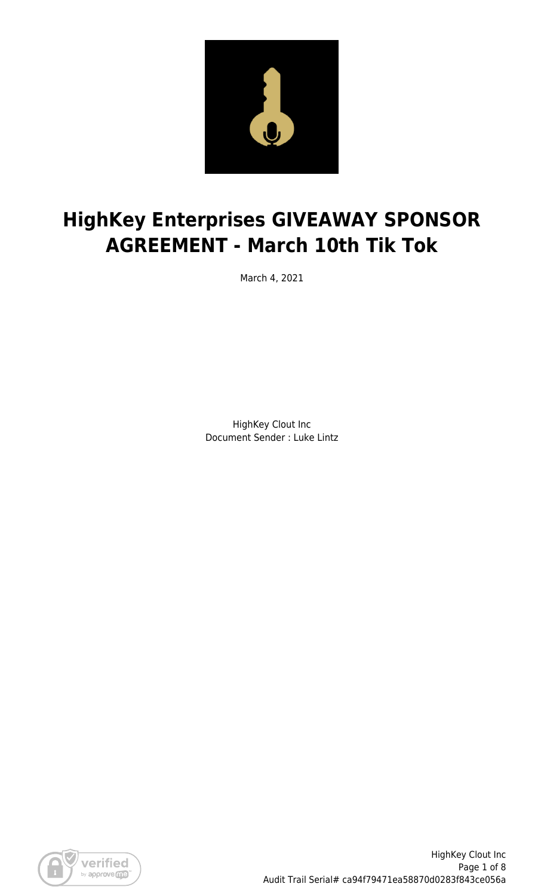

# **HighKey Enterprises GIVEAWAY SPONSOR AGREEMENT - March 10th Tik Tok**

March 4, 2021

HighKey Clout Inc Document Sender : Luke Lintz

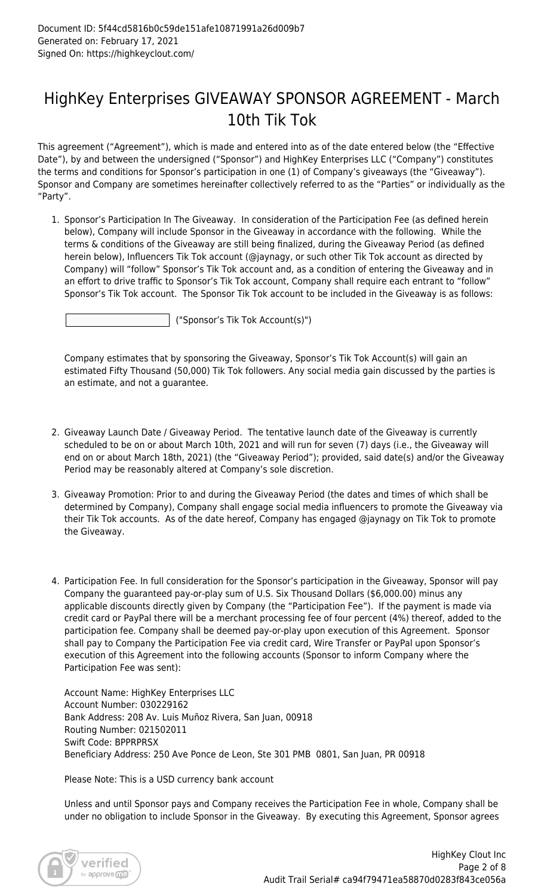### HighKey Enterprises GIVEAWAY SPONSOR AGREEMENT - March 10th Tik Tok

This agreement ("Agreement"), which is made and entered into as of the date entered below (the "Effective Date"), by and between the undersigned ("Sponsor") and HighKey Enterprises LLC ("Company") constitutes the terms and conditions for Sponsor's participation in one (1) of Company's giveaways (the "Giveaway"). Sponsor and Company are sometimes hereinafter collectively referred to as the "Parties" or individually as the "Party".

1. Sponsor's Participation In The Giveaway. In consideration of the Participation Fee (as defined herein below), Company will include Sponsor in the Giveaway in accordance with the following. While the terms & conditions of the Giveaway are still being finalized, during the Giveaway Period (as defined herein below), Influencers Tik Tok account (@jaynagy, or such other Tik Tok account as directed by Company) will "follow" Sponsor's Tik Tok account and, as a condition of entering the Giveaway and in an effort to drive traffic to Sponsor's Tik Tok account, Company shall require each entrant to "follow" Sponsor's Tik Tok account. The Sponsor Tik Tok account to be included in the Giveaway is as follows:

("Sponsor's Tik Tok Account(s)")

Company estimates that by sponsoring the Giveaway, Sponsor's Tik Tok Account(s) will gain an estimated Fifty Thousand (50,000) Tik Tok followers. Any social media gain discussed by the parties is an estimate, and not a guarantee.

- 2. Giveaway Launch Date / Giveaway Period. The tentative launch date of the Giveaway is currently scheduled to be on or about March 10th, 2021 and will run for seven (7) days (i.e., the Giveaway will end on or about March 18th, 2021) (the "Giveaway Period"); provided, said date(s) and/or the Giveaway Period may be reasonably altered at Company's sole discretion.
- 3. Giveaway Promotion: Prior to and during the Giveaway Period (the dates and times of which shall be determined by Company), Company shall engage social media influencers to promote the Giveaway via their Tik Tok accounts. As of the date hereof, Company has engaged @jaynagy on Tik Tok to promote the Giveaway.
- 4. Participation Fee. In full consideration for the Sponsor's participation in the Giveaway, Sponsor will pay Company the guaranteed pay-or-play sum of U.S. Six Thousand Dollars (\$6,000.00) minus any applicable discounts directly given by Company (the "Participation Fee"). If the payment is made via credit card or PayPal there will be a merchant processing fee of four percent (4%) thereof, added to the participation fee. Company shall be deemed pay-or-play upon execution of this Agreement. Sponsor shall pay to Company the Participation Fee via credit card, Wire Transfer or PayPal upon Sponsor's execution of this Agreement into the following accounts (Sponsor to inform Company where the Participation Fee was sent):

Account Name: HighKey Enterprises LLC Account Number: 030229162 Bank Address: 208 Av. Luis Muñoz Rivera, San Juan, 00918 Routing Number: 021502011 Swift Code: BPPRPRSX Beneficiary Address: 250 Ave Ponce de Leon, Ste 301 PMB 0801, San Juan, PR 00918

Please Note: This is a USD currency bank account

Unless and until Sponsor pays and Company receives the Participation Fee in whole, Company shall be under no obligation to include Sponsor in the Giveaway. By executing this Agreement, Sponsor agrees

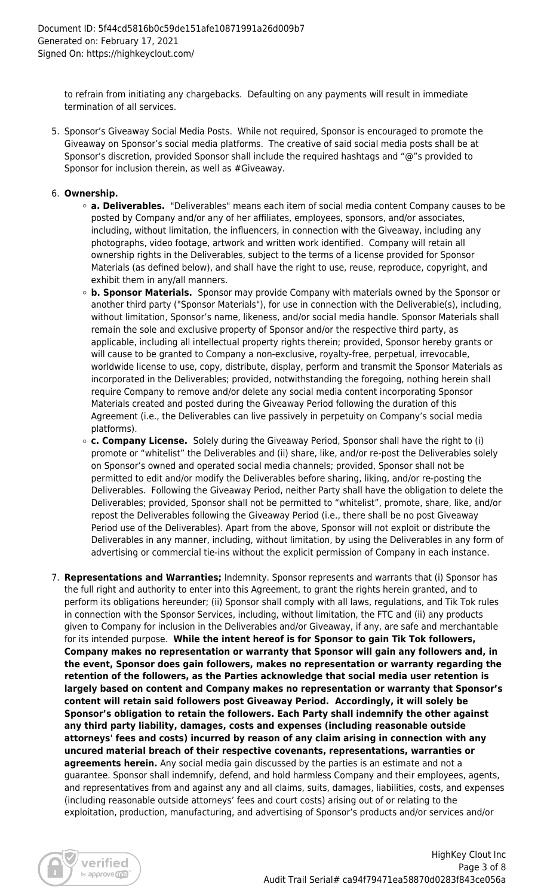to refrain from initiating any chargebacks. Defaulting on any payments will result in immediate termination of all services.

5. Sponsor's Giveaway Social Media Posts. While not required, Sponsor is encouraged to promote the Giveaway on Sponsor's social media platforms. The creative of said social media posts shall be at Sponsor's discretion, provided Sponsor shall include the required hashtags and "@"s provided to Sponsor for inclusion therein, as well as #Giveaway.

#### 6. **Ownership.**

- **a. Deliverables.** "Deliverables" means each item of social media content Company causes to be posted by Company and/or any of her affiliates, employees, sponsors, and/or associates, including, without limitation, the influencers, in connection with the Giveaway, including any photographs, video footage, artwork and written work identified. Company will retain all ownership rights in the Deliverables, subject to the terms of a license provided for Sponsor Materials (as defined below), and shall have the right to use, reuse, reproduce, copyright, and exhibit them in any/all manners.
- **b. Sponsor Materials.** Sponsor may provide Company with materials owned by the Sponsor or another third party ("Sponsor Materials"), for use in connection with the Deliverable(s), including, without limitation, Sponsor's name, likeness, and/or social media handle. Sponsor Materials shall remain the sole and exclusive property of Sponsor and/or the respective third party, as applicable, including all intellectual property rights therein; provided, Sponsor hereby grants or will cause to be granted to Company a non-exclusive, royalty-free, perpetual, irrevocable, worldwide license to use, copy, distribute, display, perform and transmit the Sponsor Materials as incorporated in the Deliverables; provided, notwithstanding the foregoing, nothing herein shall require Company to remove and/or delete any social media content incorporating Sponsor Materials created and posted during the Giveaway Period following the duration of this Agreement (i.e., the Deliverables can live passively in perpetuity on Company's social media platforms).
- **c. Company License.** Solely during the Giveaway Period, Sponsor shall have the right to (i) promote or "whitelist" the Deliverables and (ii) share, like, and/or re-post the Deliverables solely on Sponsor's owned and operated social media channels; provided, Sponsor shall not be permitted to edit and/or modify the Deliverables before sharing, liking, and/or re-posting the Deliverables. Following the Giveaway Period, neither Party shall have the obligation to delete the Deliverables; provided, Sponsor shall not be permitted to "whitelist", promote, share, like, and/or repost the Deliverables following the Giveaway Period (i.e., there shall be no post Giveaway Period use of the Deliverables). Apart from the above, Sponsor will not exploit or distribute the Deliverables in any manner, including, without limitation, by using the Deliverables in any form of advertising or commercial tie-ins without the explicit permission of Company in each instance.
- 7. **Representations and Warranties;** Indemnity. Sponsor represents and warrants that (i) Sponsor has the full right and authority to enter into this Agreement, to grant the rights herein granted, and to perform its obligations hereunder; (ii) Sponsor shall comply with all laws, regulations, and Tik Tok rules in connection with the Sponsor Services, including, without limitation, the FTC and (ii) any products given to Company for inclusion in the Deliverables and/or Giveaway, if any, are safe and merchantable for its intended purpose. **While the intent hereof is for Sponsor to gain Tik Tok followers, Company makes no representation or warranty that Sponsor will gain any followers and, in the event, Sponsor does gain followers, makes no representation or warranty regarding the retention of the followers, as the Parties acknowledge that social media user retention is largely based on content and Company makes no representation or warranty that Sponsor's content will retain said followers post Giveaway Period. Accordingly, it will solely be Sponsor's obligation to retain the followers. Each Party shall indemnify the other against any third party liability, damages, costs and expenses (including reasonable outside attorneys' fees and costs) incurred by reason of any claim arising in connection with any uncured material breach of their respective covenants, representations, warranties or agreements herein.** Any social media gain discussed by the parties is an estimate and not a guarantee. Sponsor shall indemnify, defend, and hold harmless Company and their employees, agents, and representatives from and against any and all claims, suits, damages, liabilities, costs, and expenses (including reasonable outside attorneys' fees and court costs) arising out of or relating to the exploitation, production, manufacturing, and advertising of Sponsor's products and/or services and/or

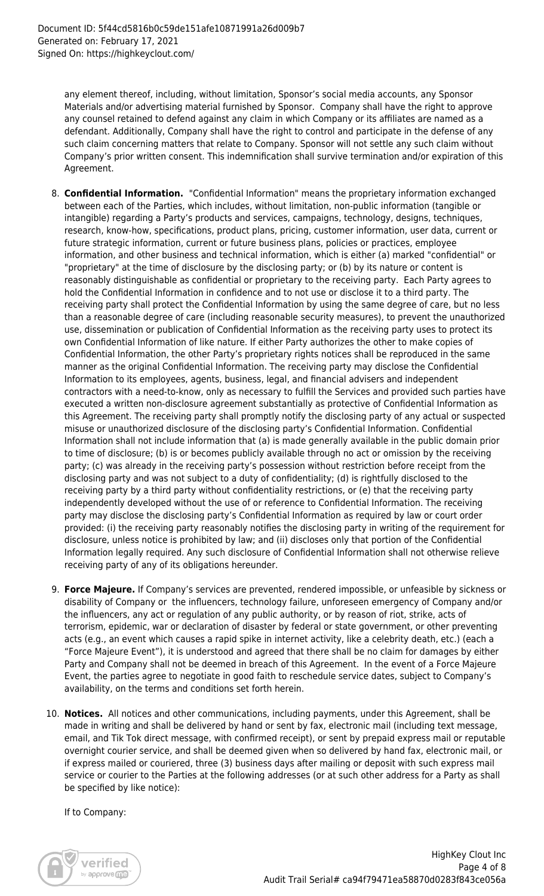any element thereof, including, without limitation, Sponsor's social media accounts, any Sponsor Materials and/or advertising material furnished by Sponsor. Company shall have the right to approve any counsel retained to defend against any claim in which Company or its affiliates are named as a defendant. Additionally, Company shall have the right to control and participate in the defense of any such claim concerning matters that relate to Company. Sponsor will not settle any such claim without Company's prior written consent. This indemnification shall survive termination and/or expiration of this Agreement.

- 8. **Confidential Information.** "Confidential Information" means the proprietary information exchanged between each of the Parties, which includes, without limitation, non-public information (tangible or intangible) regarding a Party's products and services, campaigns, technology, designs, techniques, research, know-how, specifications, product plans, pricing, customer information, user data, current or future strategic information, current or future business plans, policies or practices, employee information, and other business and technical information, which is either (a) marked "confidential" or "proprietary" at the time of disclosure by the disclosing party; or (b) by its nature or content is reasonably distinguishable as confidential or proprietary to the receiving party. Each Party agrees to hold the Confidential Information in confidence and to not use or disclose it to a third party. The receiving party shall protect the Confidential Information by using the same degree of care, but no less than a reasonable degree of care (including reasonable security measures), to prevent the unauthorized use, dissemination or publication of Confidential Information as the receiving party uses to protect its own Confidential Information of like nature. If either Party authorizes the other to make copies of Confidential Information, the other Party's proprietary rights notices shall be reproduced in the same manner as the original Confidential Information. The receiving party may disclose the Confidential Information to its employees, agents, business, legal, and financial advisers and independent contractors with a need-to-know, only as necessary to fulfill the Services and provided such parties have executed a written non-disclosure agreement substantially as protective of Confidential Information as this Agreement. The receiving party shall promptly notify the disclosing party of any actual or suspected misuse or unauthorized disclosure of the disclosing party's Confidential Information. Confidential Information shall not include information that (a) is made generally available in the public domain prior to time of disclosure; (b) is or becomes publicly available through no act or omission by the receiving party; (c) was already in the receiving party's possession without restriction before receipt from the disclosing party and was not subject to a duty of confidentiality; (d) is rightfully disclosed to the receiving party by a third party without confidentiality restrictions, or (e) that the receiving party independently developed without the use of or reference to Confidential Information. The receiving party may disclose the disclosing party's Confidential Information as required by law or court order provided: (i) the receiving party reasonably notifies the disclosing party in writing of the requirement for disclosure, unless notice is prohibited by law; and (ii) discloses only that portion of the Confidential Information legally required. Any such disclosure of Confidential Information shall not otherwise relieve receiving party of any of its obligations hereunder.
- 9. **Force Majeure.** If Company's services are prevented, rendered impossible, or unfeasible by sickness or disability of Company or the influencers, technology failure, unforeseen emergency of Company and/or the influencers, any act or regulation of any public authority, or by reason of riot, strike, acts of terrorism, epidemic, war or declaration of disaster by federal or state government, or other preventing acts (e.g., an event which causes a rapid spike in internet activity, like a celebrity death, etc.) (each a "Force Majeure Event"), it is understood and agreed that there shall be no claim for damages by either Party and Company shall not be deemed in breach of this Agreement. In the event of a Force Majeure Event, the parties agree to negotiate in good faith to reschedule service dates, subject to Company's availability, on the terms and conditions set forth herein.
- 10. **Notices.** All notices and other communications, including payments, under this Agreement, shall be made in writing and shall be delivered by hand or sent by fax, electronic mail (including text message, email, and Tik Tok direct message, with confirmed receipt), or sent by prepaid express mail or reputable overnight courier service, and shall be deemed given when so delivered by hand fax, electronic mail, or if express mailed or couriered, three (3) business days after mailing or deposit with such express mail service or courier to the Parties at the following addresses (or at such other address for a Party as shall be specified by like notice):

If to Company:

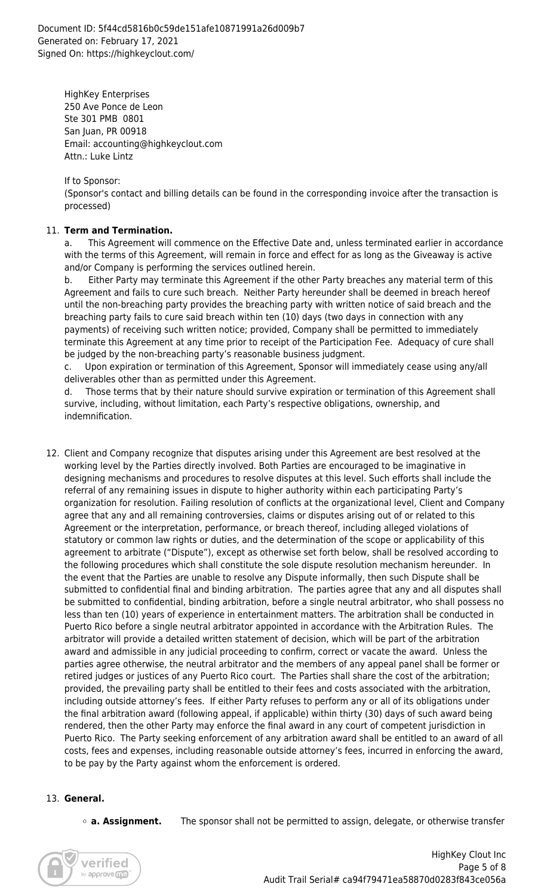HighKey Enterprises 250 Ave Ponce de Leon Ste 301 PMB 0801 San Juan, PR 00918 Email: accounting@highkeyclout.com Attn.: Luke Lintz

If to Sponsor:

(Sponsor's contact and billing details can be found in the corresponding invoice after the transaction is processed)

#### 11. **Term and Termination.**

a. This Agreement will commence on the Effective Date and, unless terminated earlier in accordance with the terms of this Agreement, will remain in force and effect for as long as the Giveaway is active and/or Company is performing the services outlined herein.

Either Party may terminate this Agreement if the other Party breaches any material term of this Agreement and fails to cure such breach. Neither Party hereunder shall be deemed in breach hereof until the non-breaching party provides the breaching party with written notice of said breach and the breaching party fails to cure said breach within ten (10) days (two days in connection with any payments) of receiving such written notice; provided, Company shall be permitted to immediately terminate this Agreement at any time prior to receipt of the Participation Fee. Adequacy of cure shall be judged by the non-breaching party's reasonable business judgment.

c. Upon expiration or termination of this Agreement, Sponsor will immediately cease using any/all deliverables other than as permitted under this Agreement.

d. Those terms that by their nature should survive expiration or termination of this Agreement shall survive, including, without limitation, each Party's respective obligations, ownership, and indemnification.

12. Client and Company recognize that disputes arising under this Agreement are best resolved at the working level by the Parties directly involved. Both Parties are encouraged to be imaginative in designing mechanisms and procedures to resolve disputes at this level. Such efforts shall include the referral of any remaining issues in dispute to higher authority within each participating Party's organization for resolution. Failing resolution of conflicts at the organizational level, Client and Company agree that any and all remaining controversies, claims or disputes arising out of or related to this Agreement or the interpretation, performance, or breach thereof, including alleged violations of statutory or common law rights or duties, and the determination of the scope or applicability of this agreement to arbitrate ("Dispute"), except as otherwise set forth below, shall be resolved according to the following procedures which shall constitute the sole dispute resolution mechanism hereunder. In the event that the Parties are unable to resolve any Dispute informally, then such Dispute shall be submitted to confidential final and binding arbitration. The parties agree that any and all disputes shall be submitted to confidential, binding arbitration, before a single neutral arbitrator, who shall possess no less than ten (10) years of experience in entertainment matters. The arbitration shall be conducted in Puerto Rico before a single neutral arbitrator appointed in accordance with the Arbitration Rules. The arbitrator will provide a detailed written statement of decision, which will be part of the arbitration award and admissible in any judicial proceeding to confirm, correct or vacate the award. Unless the parties agree otherwise, the neutral arbitrator and the members of any appeal panel shall be former or retired judges or justices of any Puerto Rico court. The Parties shall share the cost of the arbitration; provided, the prevailing party shall be entitled to their fees and costs associated with the arbitration, including outside attorney's fees. If either Party refuses to perform any or all of its obligations under the final arbitration award (following appeal, if applicable) within thirty (30) days of such award being rendered, then the other Party may enforce the final award in any court of competent jurisdiction in Puerto Rico. The Party seeking enforcement of any arbitration award shall be entitled to an award of all costs, fees and expenses, including reasonable outside attorney's fees, incurred in enforcing the award, to be pay by the Party against whom the enforcement is ordered.

### 13. **General.**

**a. Assignment.** The sponsor shall not be permitted to assign, delegate, or otherwise transfer

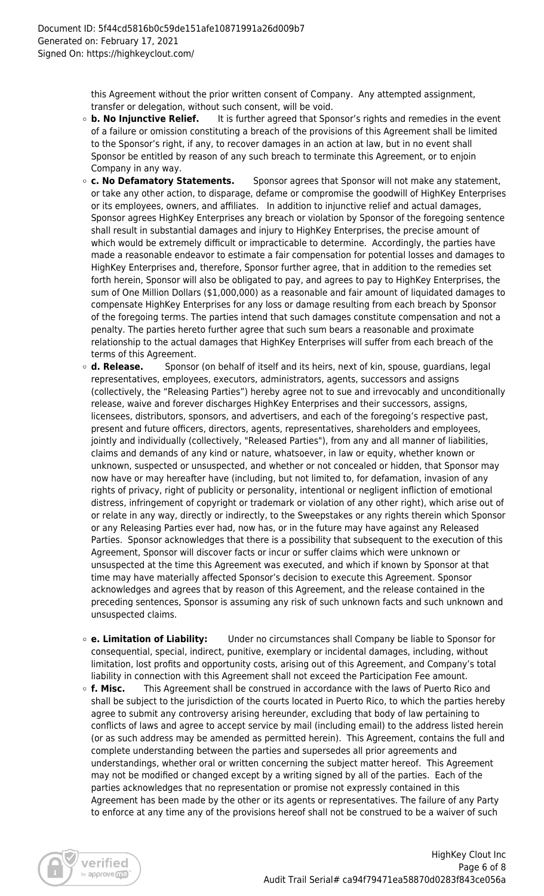this Agreement without the prior written consent of Company. Any attempted assignment, transfer or delegation, without such consent, will be void.

- **b. No Injunctive Relief.** It is further agreed that Sponsor's rights and remedies in the event of a failure or omission constituting a breach of the provisions of this Agreement shall be limited to the Sponsor's right, if any, to recover damages in an action at law, but in no event shall Sponsor be entitled by reason of any such breach to terminate this Agreement, or to enjoin Company in any way.
- **c. No Defamatory Statements.** Sponsor agrees that Sponsor will not make any statement, or take any other action, to disparage, defame or compromise the goodwill of HighKey Enterprises or its employees, owners, and affiliates. In addition to injunctive relief and actual damages, Sponsor agrees HighKey Enterprises any breach or violation by Sponsor of the foregoing sentence shall result in substantial damages and injury to HighKey Enterprises, the precise amount of which would be extremely difficult or impracticable to determine. Accordingly, the parties have made a reasonable endeavor to estimate a fair compensation for potential losses and damages to HighKey Enterprises and, therefore, Sponsor further agree, that in addition to the remedies set forth herein, Sponsor will also be obligated to pay, and agrees to pay to HighKey Enterprises, the sum of One Million Dollars (\$1,000,000) as a reasonable and fair amount of liquidated damages to compensate HighKey Enterprises for any loss or damage resulting from each breach by Sponsor of the foregoing terms. The parties intend that such damages constitute compensation and not a penalty. The parties hereto further agree that such sum bears a reasonable and proximate relationship to the actual damages that HighKey Enterprises will suffer from each breach of the terms of this Agreement.
- **d. Release.** Sponsor (on behalf of itself and its heirs, next of kin, spouse, guardians, legal representatives, employees, executors, administrators, agents, successors and assigns (collectively, the "Releasing Parties") hereby agree not to sue and irrevocably and unconditionally release, waive and forever discharges HighKey Enterprises and their successors, assigns, licensees, distributors, sponsors, and advertisers, and each of the foregoing's respective past, present and future officers, directors, agents, representatives, shareholders and employees, jointly and individually (collectively, "Released Parties"), from any and all manner of liabilities, claims and demands of any kind or nature, whatsoever, in law or equity, whether known or unknown, suspected or unsuspected, and whether or not concealed or hidden, that Sponsor may now have or may hereafter have (including, but not limited to, for defamation, invasion of any rights of privacy, right of publicity or personality, intentional or negligent infliction of emotional distress, infringement of copyright or trademark or violation of any other right), which arise out of or relate in any way, directly or indirectly, to the Sweepstakes or any rights therein which Sponsor or any Releasing Parties ever had, now has, or in the future may have against any Released Parties. Sponsor acknowledges that there is a possibility that subsequent to the execution of this Agreement, Sponsor will discover facts or incur or suffer claims which were unknown or unsuspected at the time this Agreement was executed, and which if known by Sponsor at that time may have materially affected Sponsor's decision to execute this Agreement. Sponsor acknowledges and agrees that by reason of this Agreement, and the release contained in the preceding sentences, Sponsor is assuming any risk of such unknown facts and such unknown and unsuspected claims.
- **e. Limitation of Liability:** Under no circumstances shall Company be liable to Sponsor for consequential, special, indirect, punitive, exemplary or incidental damages, including, without limitation, lost profits and opportunity costs, arising out of this Agreement, and Company's total liability in connection with this Agreement shall not exceed the Participation Fee amount.
- **f. Misc.** This Agreement shall be construed in accordance with the laws of Puerto Rico and shall be subject to the jurisdiction of the courts located in Puerto Rico, to which the parties hereby agree to submit any controversy arising hereunder, excluding that body of law pertaining to conflicts of laws and agree to accept service by mail (including email) to the address listed herein (or as such address may be amended as permitted herein). This Agreement, contains the full and complete understanding between the parties and supersedes all prior agreements and understandings, whether oral or written concerning the subject matter hereof. This Agreement may not be modified or changed except by a writing signed by all of the parties. Each of the parties acknowledges that no representation or promise not expressly contained in this Agreement has been made by the other or its agents or representatives. The failure of any Party to enforce at any time any of the provisions hereof shall not be construed to be a waiver of such

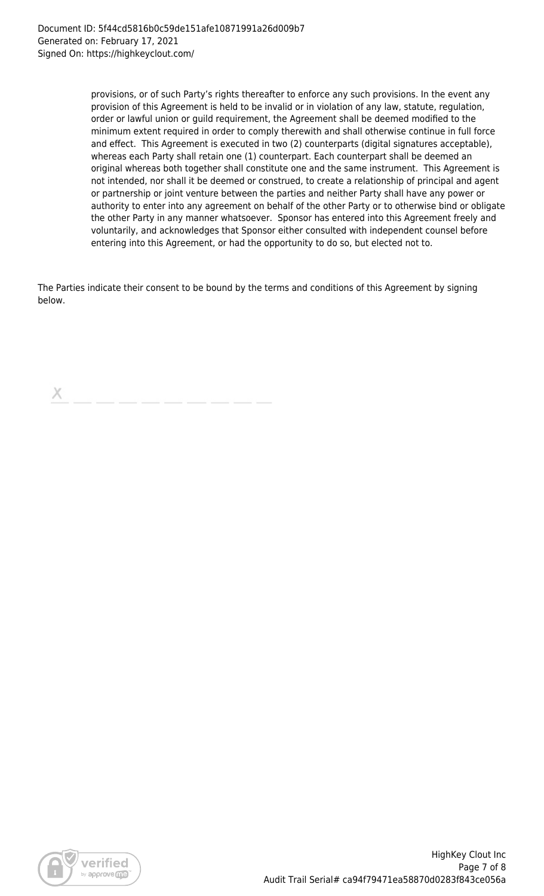provisions, or of such Party's rights thereafter to enforce any such provisions. In the event any provision of this Agreement is held to be invalid or in violation of any law, statute, regulation, order or lawful union or guild requirement, the Agreement shall be deemed modified to the minimum extent required in order to comply therewith and shall otherwise continue in full force and effect. This Agreement is executed in two (2) counterparts (digital signatures acceptable), whereas each Party shall retain one (1) counterpart. Each counterpart shall be deemed an original whereas both together shall constitute one and the same instrument. This Agreement is not intended, nor shall it be deemed or construed, to create a relationship of principal and agent or partnership or joint venture between the parties and neither Party shall have any power or authority to enter into any agreement on behalf of the other Party or to otherwise bind or obligate the other Party in any manner whatsoever. Sponsor has entered into this Agreement freely and voluntarily, and acknowledges that Sponsor either consulted with independent counsel before entering into this Agreement, or had the opportunity to do so, but elected not to.

The Parties indicate their consent to be bound by the terms and conditions of this Agreement by signing below.

Х